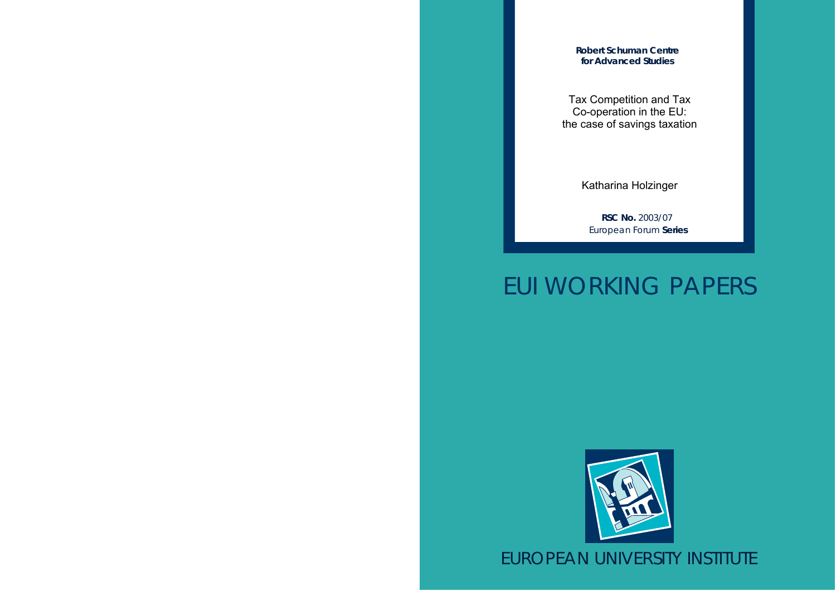**Robert Schuman Centre for Advanced Studies**

Tax Competition and Tax Co-operation in the EU: the case of savings taxation

Katharina Holzinger

**RSC No.** 2003/07 European Forum **Series**

# EUI WORKING PAPERS



EUROPEAN UNIVERSITY INSTITUTE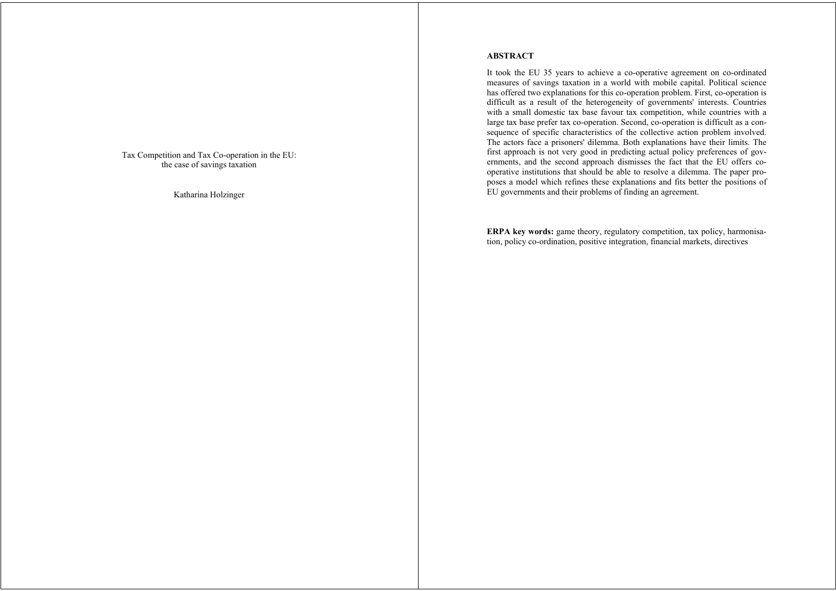Tax Competition and Tax Co-operation in the EU: the case of savings taxation

Katharina Holzinger

# **ABSTRACT**

It took the EU 35 years to achieve a co-operative agreement on co-ordinated measures of savings taxation in a world with mobile capital. Political science has offered two explanations for this co-operation problem. First, co-operation is difficult as a result of the heterogeneity of governments' interests. Countries with a small domestic tax base favour tax competition, while countries with a large tax base prefer tax co-operation. Second, co-operation is difficult as a consequence of specific characteristics of the collective action problem involved. The actors face a prisoners' dilemma. Both explanations have their limits. The first approach is not very good in predicting actual policy preferences of governments, and the second approach dismisses the fact that the EU offers cooperative institutions that should be able to resolve a dilemma. The paper proposes a model which refines these explanations and fits better the positions of EU governments and their problems of finding an agreement.

**ERPA key words:** game theory, regulatory competition, tax policy, harmonisation, policy co-ordination, positive integration, financial markets, directives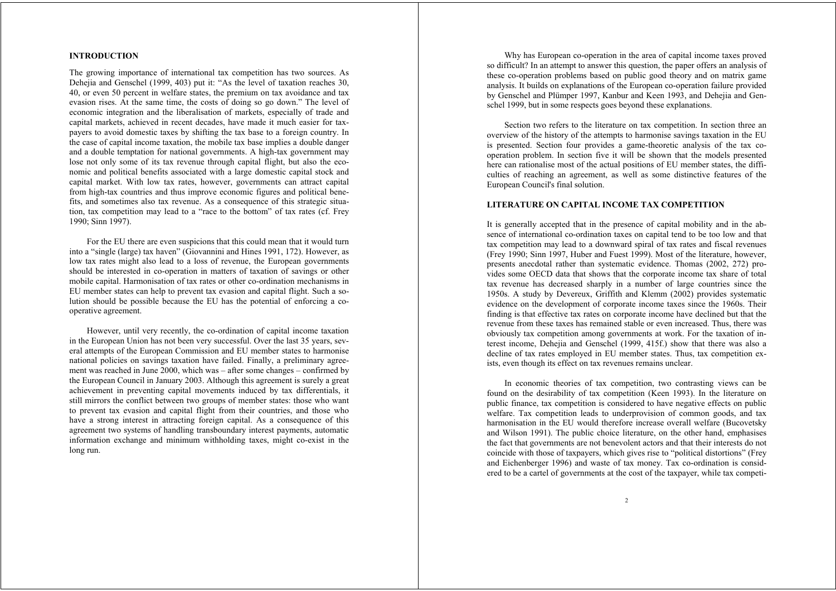# **INTRODUCTION**

The growing importance of international tax competition has two sources. As Deheija and Genschel (1999, 403) put it: "As the level of taxation reaches 30, 40, or even 50 percent in welfare states, the premium on tax avoidance and tax evasion rises. At the same time, the costs of doing so go down." The level of economic integration and the liberalisation of markets, especially of trade and capital markets, achieved in recent decades, have made it much easier for taxpayers to avoid domestic taxes by shifting the tax base to a foreign country. In the case of capital income taxation, the mobile tax base implies a double danger and a double temptation for national governments. A high-tax government may lose not only some of its tax revenue through capital flight, but also the economic and political benefits associated with a large domestic capital stock and capital market. With low tax rates, however, governments can attract capital from high-tax countries and thus improve economic figures and political benefits, and sometimes also tax revenue. As a consequence of this strategic situation, tax competition may lead to a "race to the bottom" of tax rates (cf. Frey 1990; Sinn 1997).

For the EU there are even suspicions that this could mean that it would turn into a "single (large) tax haven" (Giovannini and Hines 1991, 172). However, as low tax rates might also lead to a loss of revenue, the European governments should be interested in co-operation in matters of taxation of savings or other mobile capital. Harmonisation of tax rates or other co-ordination mechanisms in EU member states can help to prevent tax evasion and capital flight. Such a solution should be possible because the EU has the potential of enforcing a cooperative agreement.

However, until very recently, the co-ordination of capital income taxation in the European Union has not been very successful. Over the last 35 years, several attempts of the European Commission and EU member states to harmonise national policies on savings taxation have failed. Finally, a preliminary agreement was reached in June 2000, which was – after some changes – confirmed by the European Council in January 2003. Although this agreement is surely a great achievement in preventing capital movements induced by tax differentials, it still mirrors the conflict between two groups of member states: those who want to prevent tax evasion and capital flight from their countries, and those who have a strong interest in attracting foreign capital. As a consequence of this agreement two systems of handling transboundary interest payments, automatic information exchange and minimum withholding taxes, might co-exist in the long run.

Why has European co-operation in the area of capital income taxes proved so difficult? In an attempt to answer this question, the paper offers an analysis of these co-operation problems based on public good theory and on matrix game analysis. It builds on explanations of the European co-operation failure provided by Genschel and Plümper 1997, Kanbur and Keen 1993, and Dehejia and Genschel 1999, but in some respects goes beyond these explanations.

Section two refers to the literature on tax competition. In section three an overview of the history of the attempts to harmonise savings taxation in the EU is presented. Section four provides a game-theoretic analysis of the tax cooperation problem. In section five it will be shown that the models presented here can rationalise most of the actual positions of EU member states, the difficulties of reaching an agreement, as well as some distinctive features of the European Council's final solution.

# **LITERATURE ON CAPITAL INCOME TAX COMPETITION**

It is generally accepted that in the presence of capital mobility and in the absence of international co-ordination taxes on capital tend to be too low and that tax competition may lead to a downward spiral of tax rates and fiscal revenues (Frey 1990; Sinn 1997, Huber and Fuest 1999). Most of the literature, however, presents anecdotal rather than systematic evidence. Thomas (2002, 272) provides some OECD data that shows that the corporate income tax share of total tax revenue has decreased sharply in a number of large countries since the 1950s. A study by Devereux, Griffith and Klemm (2002) provides systematic evidence on the development of corporate income taxes since the 1960s. Their finding is that effective tax rates on corporate income have declined but that the revenue from these taxes has remained stable or even increased. Thus, there was obviously tax competition among governments at work. For the taxation of interest income, Dehejia and Genschel (1999, 415f.) show that there was also a decline of tax rates employed in EU member states. Thus, tax competition exists, even though its effect on tax revenues remains unclear.

In economic theories of tax competition, two contrasting views can be found on the desirability of tax competition (Keen 1993). In the literature on public finance, tax competition is considered to have negative effects on public welfare. Tax competition leads to underprovision of common goods, and tax harmonisation in the EU would therefore increase overall welfare (Bucovetsky and Wilson 1991). The public choice literature, on the other hand, emphasises the fact that governments are not benevolent actors and that their interests do not coincide with those of taxpayers, which gives rise to "political distortions" (Frey and Eichenberger 1996) and waste of tax money. Tax co-ordination is considered to be a cartel of governments at the cost of the taxpayer, while tax competi-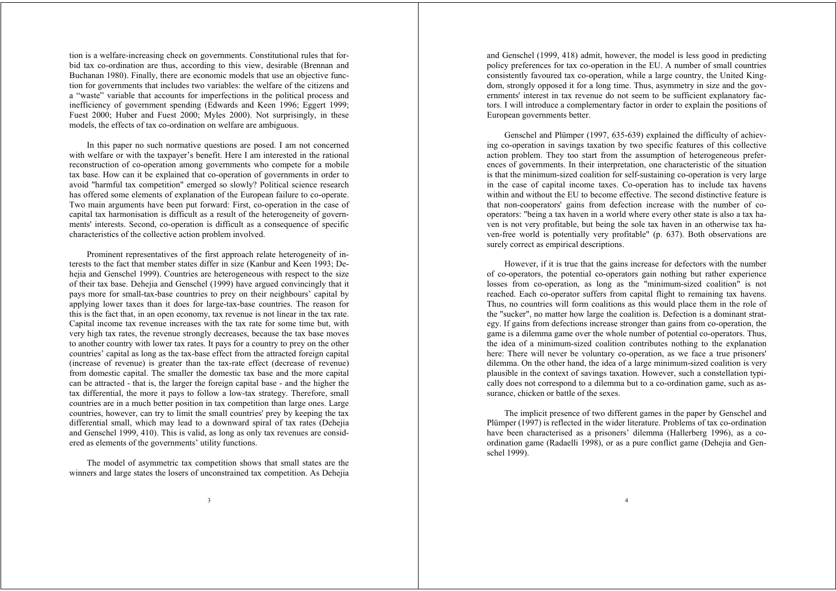tion is a welfare-increasing check on governments. Constitutional rules that forbid tax co-ordination are thus, according to this view, desirable (Brennan and Buchanan 1980). Finally, there are economic models that use an objective function for governments that includes two variables: the welfare of the citizens and <sup>a</sup>"waste" variable that accounts for imperfections in the political process and inefficiency of government spending (Edwards and Keen 1996; Eggert 1999; Fuest 2000; Huber and Fuest 2000; Myles 2000). Not surprisingly, in these models, the effects of tax co-ordination on welfare are ambiguous.

In this paper no such normative questions are posed. I am not concerned with welfare or with the taxpayer's benefit. Here I am interested in the rational reconstruction of co-operation among governments who compete for a mobile tax base. How can it be explained that co-operation of governments in order to avoid "harmful tax competition" emerged so slowly? Political science research has offered some elements of explanation of the European failure to co-operate. Two main arguments have been put forward: First, co-operation in the case of capital tax harmonisation is difficult as a result of the heterogeneity of governments' interests. Second, co-operation is difficult as a consequence of specific characteristics of the collective action problem involved.

Prominent representatives of the first approach relate heterogeneity of interests to the fact that member states differ in size (Kanbur and Keen 1993; Dehejia and Genschel 1999). Countries are heterogeneous with respect to the size of their tax base. Dehejia and Genschel (1999) have argued convincingly that it pays more for small-tax-base countries to prey on their neighbours' capital by applying lower taxes than it does for large-tax-base countries. The reason for this is the fact that, in an open economy, tax revenue is not linear in the tax rate. Capital income tax revenue increases with the tax rate for some time but, with very high tax rates, the revenue strongly decreases, because the tax base moves to another country with lower tax rates. It pays for a country to prey on the other countries' capital as long as the tax-base effect from the attracted foreign capital (increase of revenue) is greater than the tax-rate effect (decrease of revenue) from domestic capital. The smaller the domestic tax base and the more capital can be attracted - that is, the larger the foreign capital base - and the higher the tax differential, the more it pays to follow a low-tax strategy. Therefore, small countries are in a much better position in tax competition than large ones. Large countries, however, can try to limit the small countries' prey by keeping the tax differential small, which may lead to a downward spiral of tax rates (Dehejia and Genschel 1999, 410). This is valid, as long as only tax revenues are considered as elements of the governments' utility functions.

The model of asymmetric tax competition shows that small states are the winners and large states the losers of unconstrained tax competition. As Dehejia and Genschel (1999, 418) admit, however, the model is less good in predicting policy preferences for tax co-operation in the EU. A number of small countries consistently favoured tax co-operation, while a large country, the United Kingdom, strongly opposed it for a long time. Thus, asymmetry in size and the governments' interest in tax revenue do not seem to be sufficient explanatory factors. I will introduce a complementary factor in order to explain the positions of European governments better.

Genschel and Plümper (1997, 635-639) explained the difficulty of achieving co-operation in savings taxation by two specific features of this collective action problem. They too start from the assumption of heterogeneous preferences of governments. In their interpretation, one characteristic of the situation is that the minimum-sized coalition for self-sustaining co-operation is very large in the case of capital income taxes. Co-operation has to include tax havens within and without the EU to become effective. The second distinctive feature is that non-cooperators' gains from defection increase with the number of cooperators: "being a tax haven in a world where every other state is also a tax haven is not very profitable, but being the sole tax haven in an otherwise tax haven-free world is potentially very profitable" (p. 637). Both observations are surely correct as empirical descriptions.

However, if it is true that the gains increase for defectors with the number of co-operators, the potential co-operators gain nothing but rather experience losses from co-operation, as long as the "minimum-sized coalition" is not reached. Each co-operator suffers from capital flight to remaining tax havens. Thus, no countries will form coalitions as this would place them in the role of the "sucker", no matter how large the coalition is. Defection is a dominant strategy. If gains from defections increase stronger than gains from co-operation, the game is a dilemma game over the whole number of potential co-operators. Thus, the idea of a minimum-sized coalition contributes nothing to the explanation here: There will never be voluntary co-operation, as we face a true prisoners' dilemma. On the other hand, the idea of a large minimum-sized coalition is very plausible in the context of savings taxation. However, such a constellation typically does not correspond to a dilemma but to a co-ordination game, such as assurance, chicken or battle of the sexes.

The implicit presence of two different games in the paper by Genschel and Plümper (1997) is reflected in the wider literature. Problems of tax co-ordination have been characterised as a prisoners' dilemma (Hallerberg 1996), as a coordination game (Radaelli 1998), or as a pure conflict game (Dehejia and Genschel 1999).

4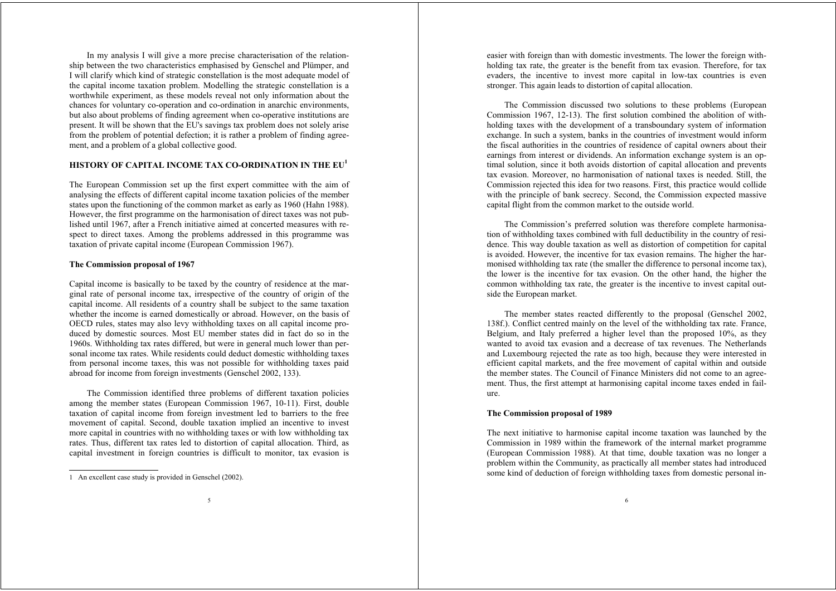In my analysis I will give a more precise characterisation of the relationship between the two characteristics emphasised by Genschel and Plümper, and I will clarify which kind of strategic constellation is the most adequate model of the capital income taxation problem. Modelling the strategic constellation is a worthwhile experiment, as these models reveal not only information about the chances for voluntary co-operation and co-ordination in anarchic environments, but also about problems of finding agreement when co-operative institutions are present. It will be shown that the EU's savings tax problem does not solely arise from the problem of potential defection; it is rather a problem of finding agreement, and a problem of a global collective good.

# **HISTORY OF CAPITAL INCOME TAX CO-ORDINATION IN THE EU<sup>1</sup>**

The European Commission set up the first expert committee with the aim of analysing the effects of different capital income taxation policies of the member states upon the functioning of the common market as early as 1960 (Hahn 1988). However, the first programme on the harmonisation of direct taxes was not published until 1967, after a French initiative aimed at concerted measures with respect to direct taxes. Among the problems addressed in this programme was taxation of private capital income (European Commission 1967).

#### **The Commission proposal of 1967**

Capital income is basically to be taxed by the country of residence at the marginal rate of personal income tax, irrespective of the country of origin of the capital income. All residents of a country shall be subject to the same taxation whether the income is earned domestically or abroad. However, on the basis of OECD rules, states may also levy withholding taxes on all capital income produced by domestic sources. Most EU member states did in fact do so in the 1960s. Withholding tax rates differed, but were in general much lower than personal income tax rates. While residents could deduct domestic withholding taxes from personal income taxes, this was not possible for withholding taxes paid abroad for income from foreign investments (Genschel 2002, 133).

The Commission identified three problems of different taxation policies among the member states (European Commission 1967, 10-11). First, double taxation of capital income from foreign investment led to barriers to the free movement of capital. Second, double taxation implied an incentive to invest more capital in countries with no withholding taxes or with low withholding tax rates. Thus, different tax rates led to distortion of capital allocation. Third, as capital investment in foreign countries is difficult to monitor, tax evasion is easier with foreign than with domestic investments. The lower the foreign withholding tax rate, the greater is the benefit from tax evasion. Therefore, for tax evaders, the incentive to invest more capital in low-tax countries is even stronger. This again leads to distortion of capital allocation.

The Commission discussed two solutions to these problems (European Commission 1967, 12-13). The first solution combined the abolition of withholding taxes with the development of a transboundary system of information exchange. In such a system, banks in the countries of investment would inform the fiscal authorities in the countries of residence of capital owners about their earnings from interest or dividends. An information exchange system is an optimal solution, since it both avoids distortion of capital allocation and prevents tax evasion. Moreover, no harmonisation of national taxes is needed. Still, the Commission rejected this idea for two reasons. First, this practice would collide with the principle of bank secrecy. Second, the Commission expected massive capital flight from the common market to the outside world.

The Commission's preferred solution was therefore complete harmonisation of withholding taxes combined with full deductibility in the country of residence. This way double taxation as well as distortion of competition for capital is avoided. However, the incentive for tax evasion remains. The higher the harmonised withholding tax rate (the smaller the difference to personal income tax), the lower is the incentive for tax evasion. On the other hand, the higher the common withholding tax rate, the greater is the incentive to invest capital outside the European market.

The member states reacted differently to the proposal (Genschel 2002, 138f.). Conflict centred mainly on the level of the withholding tax rate. France, Belgium, and Italy preferred a higher level than the proposed 10%, as they wanted to avoid tax evasion and a decrease of tax revenues. The Netherlands and Luxembourg rejected the rate as too high, because they were interested in efficient capital markets, and the free movement of capital within and outside the member states. The Council of Finance Ministers did not come to an agreement. Thus, the first attempt at harmonising capital income taxes ended in failure.

#### **The Commission proposal of 1989**

The next initiative to harmonise capital income taxation was launched by the Commission in 1989 within the framework of the internal market programme (European Commission 1988). At that time, double taxation was no longer a problem within the Community, as practically all member states had introduced some kind of deduction of foreign withholding taxes from domestic personal in-

<sup>1</sup> An excellent case study is provided in Genschel (2002).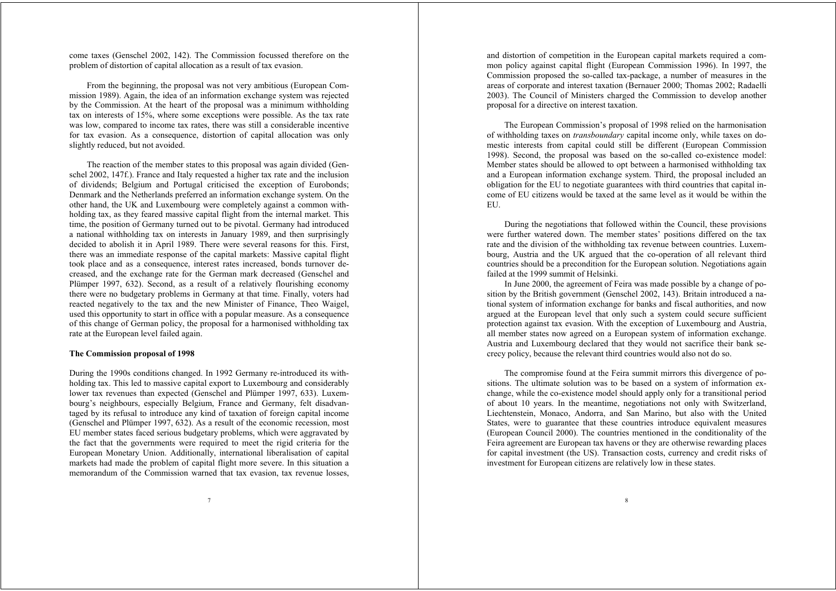come taxes (Genschel 2002, 142). The Commission focussed therefore on the problem of distortion of capital allocation as a result of tax evasion.

From the beginning, the proposal was not very ambitious (European Commission 1989). Again, the idea of an information exchange system was rejected by the Commission. At the heart of the proposal was a minimum withholding tax on interests of 15%, where some exceptions were possible. As the tax rate was low, compared to income tax rates, there was still a considerable incentive for tax evasion. As a consequence, distortion of capital allocation was only slightly reduced, but not avoided.

The reaction of the member states to this proposal was again divided (Genschel 2002, 147f.). France and Italy requested a higher tax rate and the inclusion of dividends; Belgium and Portugal criticised the exception of Eurobonds; Denmark and the Netherlands preferred an information exchange system. On the other hand, the UK and Luxembourg were completely against a common withholding tax, as they feared massive capital flight from the internal market. This time, the position of Germany turned out to be pivotal. Germany had introduced a national withholding tax on interests in January 1989, and then surprisingly decided to abolish it in April 1989. There were several reasons for this. First, there was an immediate response of the capital markets: Massive capital flight took place and as a consequence, interest rates increased, bonds turnover decreased, and the exchange rate for the German mark decreased (Genschel and Plümper 1997, 632). Second, as a result of a relatively flourishing economy there were no budgetary problems in Germany at that time. Finally, voters had reacted negatively to the tax and the new Minister of Finance, Theo Waigel, used this opportunity to start in office with a popular measure. As a consequence of this change of German policy, the proposal for a harmonised withholding tax rate at the European level failed again.

#### **The Commission proposal of 1998**

During the 1990s conditions changed. In 1992 Germany re-introduced its withholding tax. This led to massive capital export to Luxembourg and considerably lower tax revenues than expected (Genschel and Plümper 1997, 633). Luxembourg's neighbours, especially Belgium, France and Germany, felt disadvantaged by its refusal to introduce any kind of taxation of foreign capital income (Genschel and Plümper 1997, 632). As a result of the economic recession, most EU member states faced serious budgetary problems, which were aggravated by the fact that the governments were required to meet the rigid criteria for the European Monetary Union. Additionally, international liberalisation of capital markets had made the problem of capital flight more severe. In this situation a memorandum of the Commission warned that tax evasion, tax revenue losses,

and distortion of competition in the European capital markets required a common policy against capital flight (European Commission 1996). In 1997, the Commission proposed the so-called tax-package, a number of measures in the areas of corporate and interest taxation (Bernauer 2000; Thomas 2002; Radaelli 2003). The Council of Ministers charged the Commission to develop another proposal for a directive on interest taxation.

The European Commission's proposal of 1998 relied on the harmonisation of withholding taxes on *transboundary* capital income only, while taxes on domestic interests from capital could still be different (European Commission 1998). Second, the proposal was based on the so-called co-existence model: Member states should be allowed to opt between a harmonised withholding tax and a European information exchange system. Third, the proposal included an obligation for the EU to negotiate guarantees with third countries that capital income of EU citizens would be taxed at the same level as it would be within the EU.

During the negotiations that followed within the Council, these provisions were further watered down. The member states' positions differed on the tax rate and the division of the withholding tax revenue between countries. Luxembourg, Austria and the UK argued that the co-operation of all relevant third countries should be a precondition for the European solution. Negotiations again failed at the 1999 summit of Helsinki.

In June 2000, the agreement of Feira was made possible by a change of position by the British government (Genschel 2002, 143). Britain introduced a national system of information exchange for banks and fiscal authorities, and now argued at the European level that only such a system could secure sufficient protection against tax evasion. With the exception of Luxembourg and Austria, all member states now agreed on a European system of information exchange. Austria and Luxembourg declared that they would not sacrifice their bank secrecy policy, because the relevant third countries would also not do so.

The compromise found at the Feira summit mirrors this divergence of positions. The ultimate solution was to be based on a system of information exchange, while the co-existence model should apply only for a transitional period of about 10 years. In the meantime, negotiations not only with Switzerland, Liechtenstein, Monaco, Andorra, and San Marino, but also with the United States, were to guarantee that these countries introduce equivalent measures (European Council 2000). The countries mentioned in the conditionality of the Feira agreement are European tax havens or they are otherwise rewarding places for capital investment (the US). Transaction costs, currency and credit risks of investment for European citizens are relatively low in these states.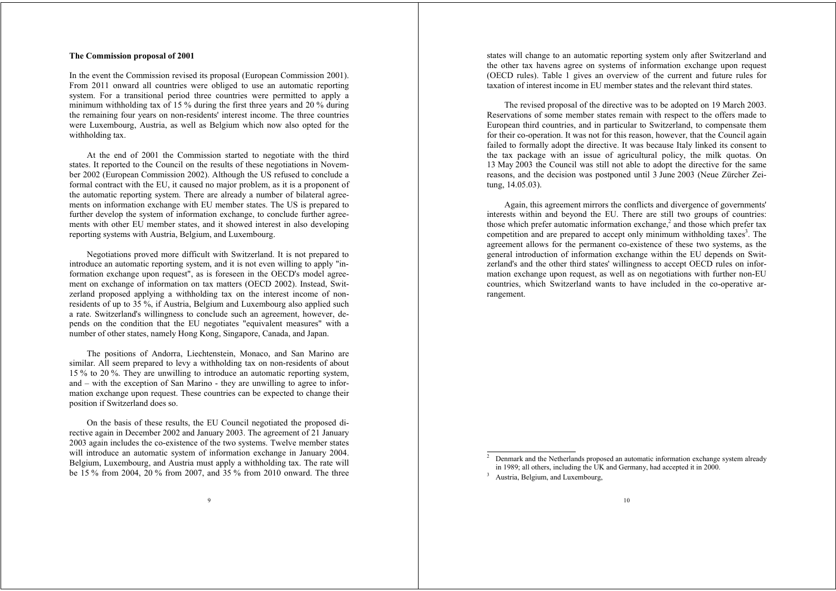# **The Commission proposal of 2001**

In the event the Commission revised its proposal (European Commission 2001). From 2011 onward all countries were obliged to use an automatic reporting system. For a transitional period three countries were permitted to apply a minimum withholding tax of 15 % during the first three years and 20 % during the remaining four years on non-residents' interest income. The three countries were Luxembourg, Austria, as well as Belgium which now also opted for the withholding tax.

At the end of 2001 the Commission started to negotiate with the third states. It reported to the Council on the results of these negotiations in November 2002 (European Commission 2002). Although the US refused to conclude a formal contract with the EU, it caused no major problem, as it is a proponent of the automatic reporting system. There are already a number of bilateral agreements on information exchange with EU member states. The US is prepared to further develop the system of information exchange, to conclude further agreements with other EU member states, and it showed interest in also developing reporting systems with Austria, Belgium, and Luxembourg.

Negotiations proved more difficult with Switzerland. It is not prepared to introduce an automatic reporting system, and it is not even willing to apply "information exchange upon request", as is foreseen in the OECD's model agreement on exchange of information on tax matters (OECD 2002). Instead, Switzerland proposed applying a withholding tax on the interest income of nonresidents of up to 35 %, if Austria, Belgium and Luxembourg also applied such a rate. Switzerland's willingness to conclude such an agreement, however, depends on the condition that the EU negotiates "equivalent measures" with a number of other states, namely Hong Kong, Singapore, Canada, and Japan.

The positions of Andorra, Liechtenstein, Monaco, and San Marino are similar. All seem prepared to levy a withholding tax on non-residents of about 15 % to 20 %. They are unwilling to introduce an automatic reporting system, and – with the exception of San Marino - they are unwilling to agree to information exchange upon request. These countries can be expected to change their position if Switzerland does so.

On the basis of these results, the EU Council negotiated the proposed directive again in December 2002 and January 2003. The agreement of 21 January 2003 again includes the co-existence of the two systems. Twelve member states will introduce an automatic system of information exchange in January 2004. Belgium, Luxembourg, and Austria must apply a withholding tax. The rate will be 15 % from 2004, 20 % from 2007, and 35 % from 2010 onward. The three

states will change to an automatic reporting system only after Switzerland and the other tax havens agree on systems of information exchange upon request (OECD rules). Table 1 gives an overview of the current and future rules for taxation of interest income in EU member states and the relevant third states.

The revised proposal of the directive was to be adopted on 19 March 2003. Reservations of some member states remain with respect to the offers made to European third countries, and in particular to Switzerland, to compensate them for their co-operation. It was not for this reason, however, that the Council again failed to formally adopt the directive. It was because Italy linked its consent to the tax package with an issue of agricultural policy, the milk quotas. On 13 May 2003 the Council was still not able to adopt the directive for the same reasons, and the decision was postponed until 3 June 2003 (Neue Zürcher Zeitung, 14.05.03).

Again, this agreement mirrors the conflicts and divergence of governments' interests within and beyond the EU. There are still two groups of countries: those which prefer automatic information exchange,<sup>2</sup> and those which prefer tax competition and are prepared to accept only minimum withholding taxes<sup>3</sup>. The agreement allows for the permanent co-existence of these two systems, as the general introduction of information exchange within the EU depends on Switzerland's and the other third states' willingness to accept OECD rules on information exchange upon request, as well as on negotiations with further non-EU countries, which Switzerland wants to have included in the co-operative arrangement.

<sup>2</sup> Denmark and the Netherlands proposed an automatic information exchange system already in 1989; all others, including the UK and Germany, had accepted it in 2000.

<sup>&</sup>lt;sup>3</sup> Austria, Belgium, and Luxembourg,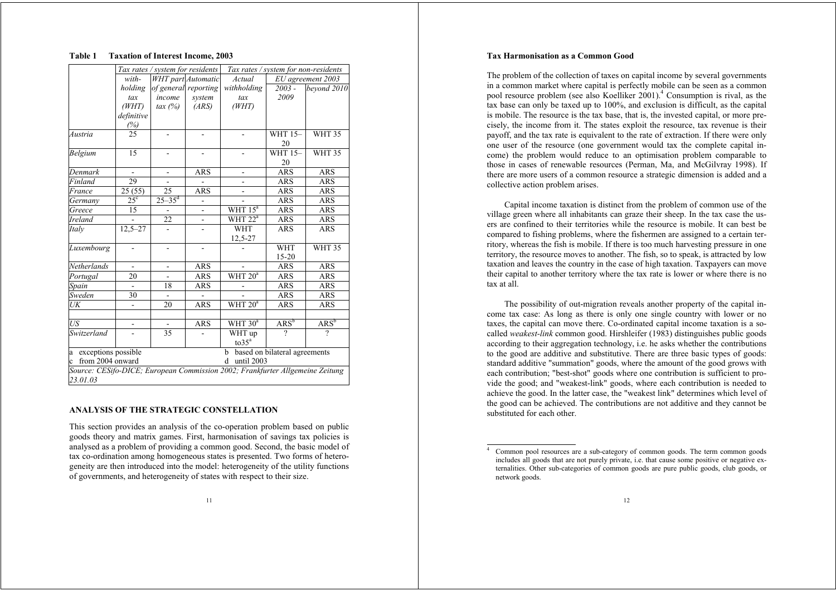## **Table 1 Taxation of Interest Income, 2003**

|                                  |                                                                               | Tax rates / system for residents |                           | Tax rates / system for non-residents |                               |                   |  |  |  |
|----------------------------------|-------------------------------------------------------------------------------|----------------------------------|---------------------------|--------------------------------------|-------------------------------|-------------------|--|--|--|
|                                  | with-                                                                         |                                  | <b>WHT</b> part Automatic | Actual                               |                               | EU agreement 2003 |  |  |  |
|                                  | holding                                                                       |                                  | of general reporting      | withholding                          | $2003 -$                      | bevond 2010       |  |  |  |
|                                  | tax                                                                           | income                           | system                    | tax                                  | 2009                          |                   |  |  |  |
|                                  | (WHT)                                                                         | $\text{tax}(%)$                  | (ARS)                     | (WHT)                                |                               |                   |  |  |  |
|                                  | definitive                                                                    |                                  |                           |                                      |                               |                   |  |  |  |
|                                  | $\frac{(%)}{25}$                                                              |                                  |                           |                                      |                               |                   |  |  |  |
| Austria                          |                                                                               |                                  |                           |                                      | <b>WHT 15-</b>                | <b>WHT 35</b>     |  |  |  |
|                                  |                                                                               |                                  |                           |                                      | 20                            |                   |  |  |  |
| Belgium                          | 15                                                                            |                                  |                           |                                      | <b>WHT 15-</b>                | <b>WHT 35</b>     |  |  |  |
|                                  |                                                                               |                                  |                           |                                      | 20                            |                   |  |  |  |
| Denmark                          | $\qquad \qquad \blacksquare$                                                  | $\overline{\phantom{a}}$         | ARS                       | $\overline{\phantom{0}}$             | ARS                           | <b>ARS</b>        |  |  |  |
| Finland                          | 29                                                                            |                                  |                           |                                      | <b>ARS</b>                    | <b>ARS</b>        |  |  |  |
| France                           | 25(55)                                                                        | 25                               | <b>ARS</b>                |                                      | <b>ARS</b>                    | <b>ARS</b>        |  |  |  |
| Germany                          | 25 <sup>c</sup>                                                               | $25 - 35$ <sup>d</sup>           |                           |                                      | <b>ARS</b>                    | <b>ARS</b>        |  |  |  |
| Greece                           | 15                                                                            |                                  | $\overline{\phantom{0}}$  | WHT $15^a$                           | <b>ARS</b>                    | ARS               |  |  |  |
| Ireland                          |                                                                               | 22                               |                           | WHT $22^a$                           | ARS                           | ARS               |  |  |  |
| Italy                            | $12,5 - 27$                                                                   |                                  |                           | <b>WHT</b>                           | <b>ARS</b>                    | <b>ARS</b>        |  |  |  |
|                                  |                                                                               |                                  |                           | 12,5-27                              |                               |                   |  |  |  |
| Luxembourg                       |                                                                               | -                                |                           |                                      | <b>WHT</b>                    | <b>WHT 35</b>     |  |  |  |
|                                  |                                                                               |                                  |                           |                                      | 15-20                         |                   |  |  |  |
| Netherlands                      |                                                                               |                                  | <b>ARS</b>                |                                      | <b>ARS</b>                    | <b>ARS</b>        |  |  |  |
| Portugal                         | 20                                                                            |                                  | <b>ARS</b>                | WHT $20^a$                           | <b>ARS</b>                    | <b>ARS</b>        |  |  |  |
| Spain                            |                                                                               | 18                               | ARS                       |                                      | ARS                           | <b>ARS</b>        |  |  |  |
| Sweden                           | 30                                                                            |                                  |                           |                                      | ARS                           | ARS               |  |  |  |
| UK                               |                                                                               | 20                               | <b>ARS</b>                | WHT $20^a$                           | ARS                           | <b>ARS</b>        |  |  |  |
|                                  |                                                                               |                                  |                           |                                      |                               |                   |  |  |  |
| US                               |                                                                               |                                  | <b>ARS</b>                | WHT $30^a$                           | $ARS^b$                       | $ARS^b$           |  |  |  |
| Switzerland                      |                                                                               | $\overline{35}$                  |                           | WHT up                               | ?                             | ?                 |  |  |  |
|                                  |                                                                               |                                  |                           | to35 <sup>a</sup>                    |                               |                   |  |  |  |
| exceptions possible<br>a         |                                                                               |                                  |                           | b                                    | based on bilateral agreements |                   |  |  |  |
| from 2004 onward<br>$\mathbf{c}$ |                                                                               |                                  |                           | until 2003<br>d                      |                               |                   |  |  |  |
|                                  |                                                                               |                                  |                           |                                      |                               |                   |  |  |  |
| 23.01.03                         | Source: CESifo-DICE; European Commission 2002; Frankfurter Allgemeine Zeitung |                                  |                           |                                      |                               |                   |  |  |  |

# **ANALYSIS OF THE STRATEGIC CONSTELLATION**

This section provides an analysis of the co-operation problem based on public goods theory and matrix games. First, harmonisation of savings tax policies is analysed as a problem of providing a common good. Second, the basic model of tax co-ordination among homogeneous states is presented. Two forms of heterogeneity are then introduced into the model: heterogeneity of the utility functions of governments, and heterogeneity of states with respect to their size.

The problem of the collection of taxes on capital income by several governments in a common market where capital is perfectly mobile can be seen as a common pool resource problem (see also Koelliker 2001).4 Consumption is rival, as the tax base can only be taxed up to 100%, and exclusion is difficult, as the capital is mobile. The resource is the tax base, that is, the invested capital, or more precisely, the income from it. The states exploit the resource, tax revenue is their payoff, and the tax rate is equivalent to the rate of extraction. If there were only one user of the resource (one government would tax the complete capital income) the problem would reduce to an optimisation problem comparable to those in cases of renewable resources (Perman, Ma, and McGilvray 1998). If there are more users of a common resource a strategic dimension is added and a collective action problem arises.

Capital income taxation is distinct from the problem of common use of the village green where all inhabitants can graze their sheep. In the tax case the users are confined to their territories while the resource is mobile. It can best be compared to fishing problems, where the fishermen are assigned to a certain territory, whereas the fish is mobile. If there is too much harvesting pressure in one territory, the resource moves to another. The fish, so to speak, is attracted by low taxation and leaves the country in the case of high taxation. Taxpayers can move their capital to another territory where the tax rate is lower or where there is no tax at all.

The possibility of out-migration reveals another property of the capital income tax case: As long as there is only one single country with lower or no taxes, the capital can move there. Co-ordinated capital income taxation is a socalled *weakest-link* common good. Hirshleifer (1983) distinguishes public goods according to their aggregation technology, i.e. he asks whether the contributions to the good are additive and substitutive. There are three basic types of goods: standard additive "summation" goods, where the amount of the good grows with each contribution; "best-shot" goods where one contribution is sufficient to provide the good; and "weakest-link" goods, where each contribution is needed to achieve the good. In the latter case, the "weakest link" determines which level of the good can be achieved. The contributions are not additive and they cannot be substituted for each other.

Common pool resources are a sub-category of common goods. The term common goods includes all goods that are not purely private, i.e. that cause some positive or negative externalities. Other sub-categories of common goods are pure public goods, club goods, or network goods.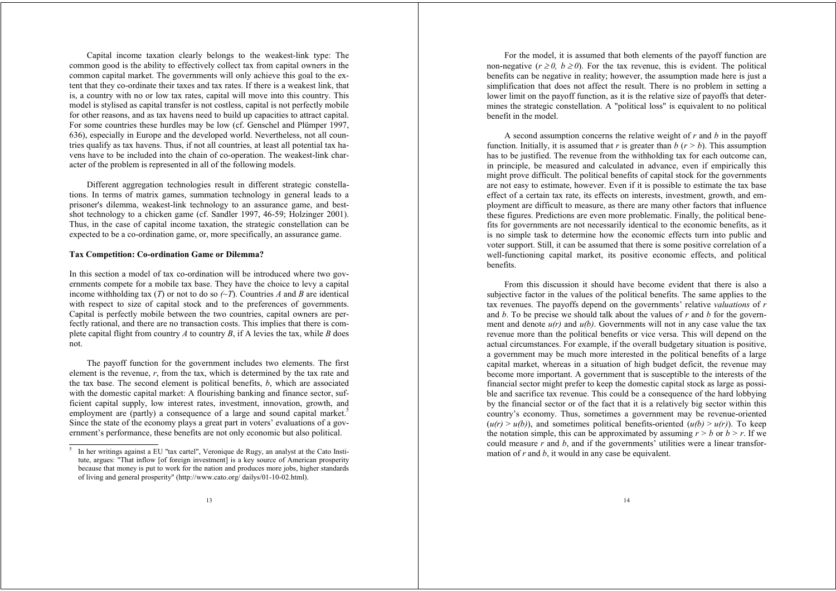Capital income taxation clearly belongs to the weakest-link type: The common good is the ability to effectively collect tax from capital owners in the common capital market. The governments will only achieve this goal to the extent that they co-ordinate their taxes and tax rates. If there is a weakest link, that is, a country with no or low tax rates, capital will move into this country. This model is stylised as capital transfer is not costless, capital is not perfectly mobile for other reasons, and as tax havens need to build up capacities to attract capital. For some countries these hurdles may be low (cf. Genschel and Plümper 1997, 636), especially in Europe and the developed world. Nevertheless, not all countries qualify as tax havens. Thus, if not all countries, at least all potential tax havens have to be included into the chain of co-operation. The weakest-link character of the problem is represented in all of the following models.

Different aggregation technologies result in different strategic constellations. In terms of matrix games, summation technology in general leads to a prisoner's dilemma, weakest-link technology to an assurance game, and bestshot technology to a chicken game (cf. Sandler 1997, 46-59; Holzinger 2001). Thus, in the case of capital income taxation, the strategic constellation can be expected to be a co-ordination game, or, more specifically, an assurance game.

#### **Tax Competition: Co-ordination Game or Dilemma?**

In this section a model of tax co-ordination will be introduced where two governments compete for a mobile tax base. They have the choice to levy a capital income withholding tax (*T*) or not to do so  $(-T)$ . Countries *A* and *B* are identical with respect to size of capital stock and to the preferences of governments. Capital is perfectly mobile between the two countries, capital owners are perfectly rational, and there are no transaction costs. This implies that there is complete capital flight from country *A* to country *B*, if A levies the tax, while *B* does not.

The payoff function for the government includes two elements. The first element is the revenue, *<sup>r</sup>*, from the tax, which is determined by the tax rate and the tax base. The second element is political benefits, *b*, which are associated with the domestic capital market: A flourishing banking and finance sector, sufficient capital supply, low interest rates, investment, innovation, growth, and employment are (partly) a consequence of a large and sound capital market.<sup>5</sup> Since the state of the economy plays a great part in voters' evaluations of a government's performance, these benefits are not only economic but also political.

For the model, it is assumed that both elements of the payoff function are non-negative  $(r \ge 0, b \ge 0)$ . For the tax revenue, this is evident. The political benefits can be negative in reality; however, the assumption made here is just a simplification that does not affect the result. There is no problem in setting a lower limit on the payoff function, as it is the relative size of payoffs that determines the strategic constellation. A "political loss" is equivalent to no political benefit in the model.

A second assumption concerns the relative weight of *r* and *b* in the payoff function. Initially, it is assumed that *r* is greater than *b*  $(r > b)$ . This assumption has to be justified. The revenue from the withholding tax for each outcome can, in principle, be measured and calculated in advance, even if empirically this might prove difficult. The political benefits of capital stock for the governments are not easy to estimate, however. Even if it is possible to estimate the tax base effect of a certain tax rate, its effects on interests, investment, growth, and employment are difficult to measure, as there are many other factors that influence these figures. Predictions are even more problematic. Finally, the political benefits for governments are not necessarily identical to the economic benefits, as it is no simple task to determine how the economic effects turn into public and voter support. Still, it can be assumed that there is some positive correlation of a well-functioning capital market, its positive economic effects, and political benefits.

From this discussion it should have become evident that there is also a subjective factor in the values of the political benefits. The same applies to the tax revenues. The payoffs depend on the governments' relative *valuations* of *<sup>r</sup>* and *b*. To be precise we should talk about the values of *r* and *b* for the government and denote  $u(r)$  and  $u(b)$ . Governments will not in any case value the tax revenue more than the political benefits or vice versa. This will depend on the actual circumstances. For example, if the overall budgetary situation is positive, a government may be much more interested in the political benefits of a large capital market, whereas in a situation of high budget deficit, the revenue may become more important. A government that is susceptible to the interests of the financial sector might prefer to keep the domestic capital stock as large as possible and sacrifice tax revenue. This could be a consequence of the hard lobbying by the financial sector or of the fact that it is a relatively big sector within this country's economy. Thus, sometimes a government may be revenue-oriented  $(u(r) > u(b))$ , and sometimes political benefits-oriented  $(u(b) > u(r))$ . To keep the notation simple, this can be approximated by assuming  $r > b$  or  $b > r$ . If we could measure *r* and *b*, and if the governments' utilities were a linear transformation of *r* and *b*, it would in any case be equivalent.

<sup>5</sup> In her writings against a EU "tax cartel", Veronique de Rugy, an analyst at the Cato Institute, argues: "That inflow [of foreign investment] is a key source of American prosperity because that money is put to work for the nation and produces more jobs, higher standards of living and general prosperity" (http://www.cato.org/ dailys/01-10-02.html).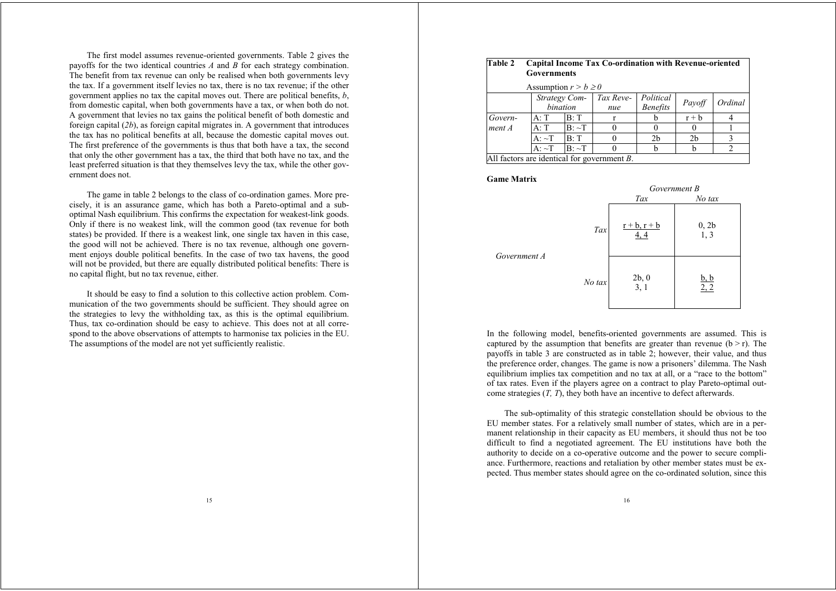The first model assumes revenue-oriented governments. Table 2 gives the payoffs for the two identical countries *A* and *B* for each strategy combination. The benefit from tax revenue can only be realised when both governments levy the tax. If a government itself levies no tax, there is no tax revenue; if the other government applies no tax the capital moves out. There are political benefits, *b*, from domestic capital, when both governments have a tax, or when both do not. A government that levies no tax gains the political benefit of both domestic and foreign capital (*2b*), as foreign capital migrates in. A government that introduces the tax has no political benefits at all, because the domestic capital moves out. The first preference of the governments is thus that both have a tax, the second that only the other government has a tax, the third that both have no tax, and the least preferred situation is that they themselves levy the tax, while the other government does not.

The game in table 2 belongs to the class of co-ordination games. More precisely, it is an assurance game, which has both a Pareto-optimal and a suboptimal Nash equilibrium. This confirms the expectation for weakest-link goods. Only if there is no weakest link, will the common good (tax revenue for both states) be provided. If there is a weakest link, one single tax haven in this case, the good will not be achieved. There is no tax revenue, although one government enjoys double political benefits. In the case of two tax havens, the good will not be provided, but there are equally distributed political benefits: There is no capital flight, but no tax revenue, either.

It should be easy to find a solution to this collective action problem. Communication of the two governments should be sufficient. They should agree on the strategies to levy the withholding tax, as this is the optimal equilibrium. Thus, tax co-ordination should be easy to achieve. This does not at all correspond to the above observations of attempts to harmonise tax policies in the EU. The assumptions of the model are not yet sufficiently realistic.

#### **Table 2 Capital Income Tax Co-ordination with Revenue-oriented Governments**

| Assumption $r > b \ge 0$                       |                                                                                                 |              |  |  |         |  |  |  |  |  |
|------------------------------------------------|-------------------------------------------------------------------------------------------------|--------------|--|--|---------|--|--|--|--|--|
|                                                | Strategy Com- Tax Reve-<br>Political<br>Ordinal<br>Payoff<br>bination<br><b>Benefits</b><br>nue |              |  |  |         |  |  |  |  |  |
| Govern-                                        | A: T                                                                                            | B:T          |  |  | $r + b$ |  |  |  |  |  |
| $ment\,A$                                      | A: T                                                                                            | $B: \sim T$  |  |  |         |  |  |  |  |  |
|                                                | B:T<br>$A: \sim T$<br>2b<br>2 <sub>b</sub>                                                      |              |  |  |         |  |  |  |  |  |
|                                                | $A \cdot \sim T$                                                                                | $ B  \sim T$ |  |  |         |  |  |  |  |  |
| All factors are identical for government $B$ . |                                                                                                 |              |  |  |         |  |  |  |  |  |

**Game Matrix**

*Government A*

|        | Government B             |                     |  |  |  |  |
|--------|--------------------------|---------------------|--|--|--|--|
|        | Tax                      | No tax              |  |  |  |  |
| Tax    | $r + b$ , $r + b$<br>4,4 | 0, 2b<br>1, 3       |  |  |  |  |
| No tax | $2b, 0$<br>3, 1          | $\frac{b, b}{2, 2}$ |  |  |  |  |

In the following model, benefits-oriented governments are assumed. This is captured by the assumption that benefits are greater than revenue  $(b > r)$ . The payoffs in table 3 are constructed as in table 2; however, their value, and thus the preference order, changes. The game is now a prisoners' dilemma. The Nash equilibrium implies tax competition and no tax at all, or a "race to the bottom" of tax rates. Even if the players agree on a contract to play Pareto-optimal outcome strategies (*T, T*), they both have an incentive to defect afterwards.

The sub-optimality of this strategic constellation should be obvious to the EU member states. For a relatively small number of states, which are in a permanent relationship in their capacity as EU members, it should thus not be too difficult to find a negotiated agreement. The EU institutions have both the authority to decide on a co-operative outcome and the power to secure compliance. Furthermore, reactions and retaliation by other member states must be expected. Thus member states should agree on the co-ordinated solution, since this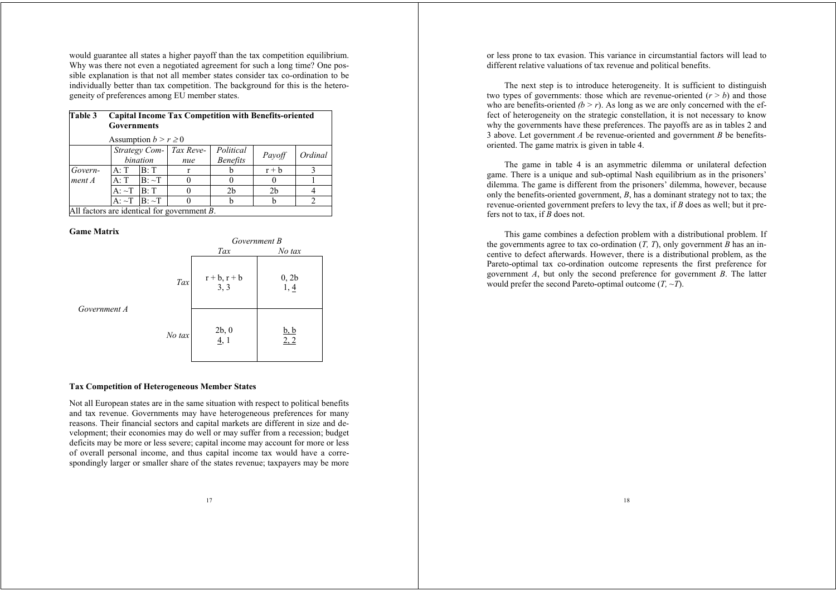would guarantee all states a higher payoff than the tax competition equilibrium. Why was there not even a negotiated agreement for such a long time? One possible explanation is that not all member states consider tax co-ordination to be individually better than tax competition. The background for this is the heterogeneity of preferences among EU member states.

| Table 3 | <b>Capital Income Tax Competition with Benefits-oriented</b><br><b>Governments</b><br>Assumption $b > r \geq 0$ |             |                                                |                              |                |                |  |  |
|---------|-----------------------------------------------------------------------------------------------------------------|-------------|------------------------------------------------|------------------------------|----------------|----------------|--|--|
|         |                                                                                                                 |             |                                                |                              |                |                |  |  |
|         |                                                                                                                 | bination    | Strategy Com- Tax Reve-<br>nue                 | Political<br><b>Benefits</b> | Payoff         | Ordinal        |  |  |
| Govern- | A: T                                                                                                            | IB: T       | r                                              |                              | $r + b$        |                |  |  |
| ment A  | A: T                                                                                                            | $B: \sim T$ | $\theta$                                       |                              |                |                |  |  |
|         | $A: \sim T$ B: T                                                                                                |             | 0                                              | 2 <sub>b</sub>               | 2 <sub>b</sub> |                |  |  |
|         | $A: \sim T$ $B: \sim T$                                                                                         |             | $\theta$                                       |                              |                | $\mathfrak{D}$ |  |  |
|         |                                                                                                                 |             | All factors are identical for government $B$ . |                              |                |                |  |  |

#### **Game Matrix**

*Government A*

|        | Government B              |                     |  |  |  |  |  |
|--------|---------------------------|---------------------|--|--|--|--|--|
|        | Tax                       | No tax              |  |  |  |  |  |
| Tax    | $r + b$ , $r + b$<br>3, 3 | 0, 2b<br>1, 4       |  |  |  |  |  |
| No tax | 2b, 0<br>4,1              | $\frac{b, b}{2, 2}$ |  |  |  |  |  |

## **Tax Competition of Heterogeneous Member States**

Not all European states are in the same situation with respect to political benefits and tax revenue. Governments may have heterogeneous preferences for many reasons. Their financial sectors and capital markets are different in size and development; their economies may do well or may suffer from a recession; budget deficits may be more or less severe; capital income may account for more or less of overall personal income, and thus capital income tax would have a correspondingly larger or smaller share of the states revenue; taxpayers may be more or less prone to tax evasion. This variance in circumstantial factors will lead to different relative valuations of tax revenue and political benefits.

The next step is to introduce heterogeneity. It is sufficient to distinguish two types of governments: those which are revenue-oriented  $(r > b)$  and those who are benefits-oriented  $(b > r)$ . As long as we are only concerned with the effect of heterogeneity on the strategic constellation, it is not necessary to know why the governments have these preferences. The payoffs are as in tables 2 and 3 above. Let government *A* be revenue-oriented and government *B* be benefitsoriented. The game matrix is given in table 4.

The game in table 4 is an asymmetric dilemma or unilateral defection game. There is a unique and sub-optimal Nash equilibrium as in the prisoners' dilemma. The game is different from the prisoners' dilemma, however, because only the benefits-oriented government, *B*, has a dominant strategy not to tax; the revenue-oriented government prefers to levy the tax, if *B* does as well; but it prefers not to tax, if *B* does not.

This game combines a defection problem with a distributional problem. If the governments agree to tax co-ordination (*T, T*), only government *B* has an incentive to defect afterwards. However, there is a distributional problem, as the Pareto-optimal tax co-ordination outcome represents the first preference for government *A*, but only the second preference for government *B*. The latter would prefer the second Pareto-optimal outcome (*T, ~T*).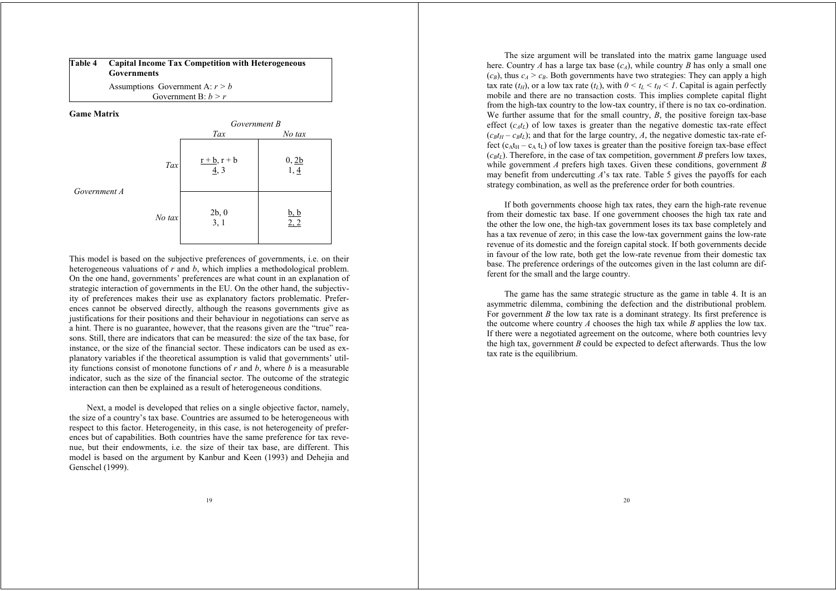| Table 4 | <b>Capital Income Tax Competition with Heterogeneous</b><br>Governments |
|---------|-------------------------------------------------------------------------|
|         |                                                                         |

Assumptions Government A: *r > b* Government B: *b > r*

**Game Matrix**



This model is based on the subjective preferences of governments, i.e. on their heterogeneous valuations of *r* and *b*, which implies a methodological problem. On the one hand, governments' preferences are what count in an explanation of strategic interaction of governments in the EU. On the other hand, the subjectivity of preferences makes their use as explanatory factors problematic. Preferences cannot be observed directly, although the reasons governments give as justifications for their positions and their behaviour in negotiations can serve as a hint. There is no guarantee, however, that the reasons given are the "true" reasons. Still, there are indicators that can be measured: the size of the tax base, for instance, or the size of the financial sector. These indicators can be used as explanatory variables if the theoretical assumption is valid that governments' utility functions consist of monotone functions of *r* and *b*, where *b* is a measurable indicator, such as the size of the financial sector. The outcome of the strategic interaction can then be explained as a result of heterogeneous conditions.

Next, a model is developed that relies on a single objective factor, namely, the size of a country's tax base. Countries are assumed to be heterogeneous with respect to this factor. Heterogeneity, in this case, is not heterogeneity of preferences but of capabilities. Both countries have the same preference for tax revenue, but their endowments, i.e. the size of their tax base, are different. This model is based on the argument by Kanbur and Keen (1993) and Dehejia and Genschel (1999).

The size argument will be translated into the matrix game language used here. Country *A* has a large tax base  $(c_A)$ , while country *B* has only a small one  $(c_B)$ , thus  $c_A > c_B$ . Both governments have two strategies: They can apply a high tax rate  $(t_H)$ , or a low tax rate  $(t_L)$ , with  $0 \le t_L \le t_H \le I$ . Capital is again perfectly mobile and there are no transaction costs. This implies complete capital flight from the high-tax country to the low-tax country, if there is no tax co-ordination. We further assume that for the small country, *B*, the positive foreign tax-base effect  $(c<sub>A</sub>t<sub>L</sub>)$  of low taxes is greater than the negative domestic tax-rate effect  $(c_{BtH} - c_{BtL})$ ; and that for the large country, *A*, the negative domestic tax-rate effect  $(c<sub>A</sub>t<sub>H</sub> - c<sub>A</sub>t<sub>L</sub>)$  of low taxes is greater than the positive foreign tax-base effect  $(c<sub>B</sub>t<sub>L</sub>)$ . Therefore, in the case of tax competition, government *B* prefers low taxes, while government *A* prefers high taxes. Given these conditions, government *B* may benefit from undercutting *A*'s tax rate. Table 5 gives the payoffs for each strategy combination, as well as the preference order for both countries.

If both governments choose high tax rates, they earn the high-rate revenue from their domestic tax base. If one government chooses the high tax rate and the other the low one, the high-tax government loses its tax base completely and has a tax revenue of zero; in this case the low-tax government gains the low-rate revenue of its domestic and the foreign capital stock. If both governments decide in favour of the low rate, both get the low-rate revenue from their domestic tax base. The preference orderings of the outcomes given in the last column are different for the small and the large country.

The game has the same strategic structure as the game in table 4. It is an asymmetric dilemma, combining the defection and the distributional problem. For government *B* the low tax rate is a dominant strategy. Its first preference is the outcome where country *A* chooses the high tax while *B* applies the low tax. If there were a negotiated agreement on the outcome, where both countries levy the high tax, government *B* could be expected to defect afterwards. Thus the low tax rate is the equilibrium.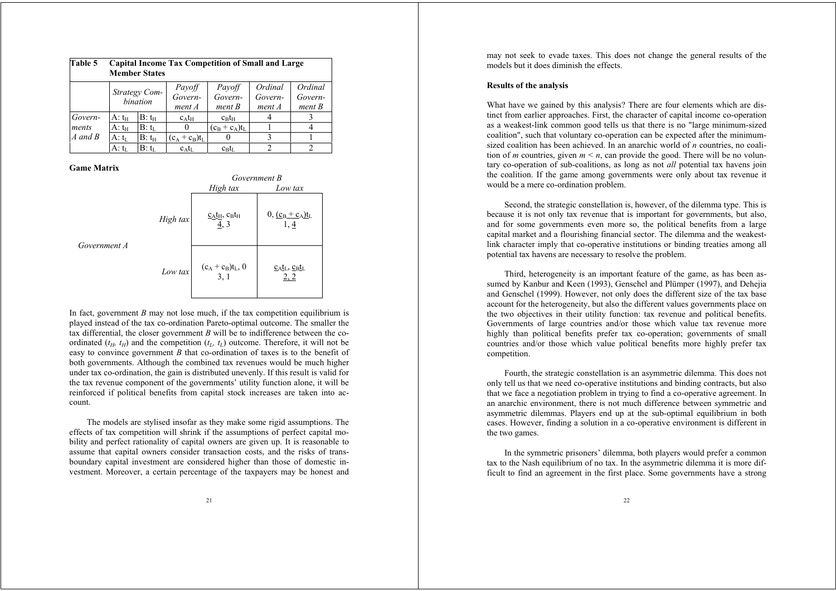| Table 5     |                           | <b>Capital Income Tax Competition of Small and Large</b><br><b>Member States</b> |                             |                             |                              |                              |  |  |  |
|-------------|---------------------------|----------------------------------------------------------------------------------|-----------------------------|-----------------------------|------------------------------|------------------------------|--|--|--|
|             | Strategy Com-<br>bination |                                                                                  | Payoff<br>Govern-<br>ment A | Payoff<br>Govern-<br>ment B | Ordinal<br>Govern-<br>ment A | Ordinal<br>Govern-<br>ment B |  |  |  |
| Govern-     | A: $t_H$                  | $B: t_H$                                                                         | $c_A t_H$                   | $c_{\rm B}t_{\rm H}$        |                              |                              |  |  |  |
| ments       | $A: t_H$                  | $B: t_L$                                                                         | $\theta$                    | $(c_B + c_A)t_L$            |                              |                              |  |  |  |
| $A$ and $B$ | A: tī                     | $B: t_H$                                                                         | $(c_A + c_B)t_L$            | O                           | 3                            |                              |  |  |  |
|             | A: $t_L$                  | $B:$ tr.                                                                         | $c_A t_L$                   | $c_{\rm B}t_{\rm L}$        |                              |                              |  |  |  |

# **Game Matrix**

 $Government$ 

|                |          | Government B                                                                                                                                                |                                           |
|----------------|----------|-------------------------------------------------------------------------------------------------------------------------------------------------------------|-------------------------------------------|
|                |          | High tax                                                                                                                                                    | Low tax                                   |
|                | High tax | $\underline{\mathrm{c}}_{\mathrm{A}}\underline{\mathrm{t}}_{\mathrm{H}}, \, \underline{\mathrm{c}}_{\mathrm{B}}\underline{\mathrm{t}}_{\mathrm{H}}$<br>4, 3 | $0, (c_B + c_A)t_L$<br>1, 4               |
| $\overline{A}$ | Low tax  | $(c_A + c_B)t_L$ , 0<br>3, 1                                                                                                                                | $c_{\text{AL}}$ , $c_{\text{BL}}$<br>2, 2 |

In fact, government *B* may not lose much, if the tax competition equilibrium is played instead of the tax co-ordination Pareto-optimal outcome. The smaller the tax differential, the closer government *B* will be to indifference between the coordinated  $(t_H, t_H)$  and the competition  $(t_L, t_L)$  outcome. Therefore, it will not be easy to convince government *B* that co-ordination of taxes is to the benefit of both governments. Although the combined tax revenues would be much higher under tax co-ordination, the gain is distributed unevenly. If this result is valid for the tax revenue component of the governments' utility function alone, it will be reinforced if political benefits from capital stock increases are taken into account.

The models are stylised insofar as they make some rigid assumptions. The effects of tax competition will shrink if the assumptions of perfect capital mobility and perfect rationality of capital owners are given up. It is reasonable to assume that capital owners consider transaction costs, and the risks of transboundary capital investment are considered higher than those of domestic investment. Moreover, a certain percentage of the taxpayers may be honest and

may not seek to evade taxes. This does not change the general results of the models but it does diminish the effects.

# **Results of the analysis**

What have we gained by this analysis? There are four elements which are distinct from earlier approaches. First, the character of capital income co-operation as a weakest-link common good tells us that there is no "large minimum-sized coalition", such that voluntary co-operation can be expected after the minimumsized coalition has been achieved. In an anarchic world of *n* countries, no coalition of *m* countries, given  $m \le n$ , can provide the good. There will be no voluntary co-operation of sub-coalitions, as long as not *all* potential tax havens join the coalition. If the game among governments were only about tax revenue it would be a mere co-ordination problem.

Second, the strategic constellation is, however, of the dilemma type. This is because it is not only tax revenue that is important for governments, but also, and for some governments even more so, the political benefits from a large capital market and a flourishing financial sector. The dilemma and the weakestlink character imply that co-operative institutions or binding treaties among all potential tax havens are necessary to resolve the problem.

Third, heterogeneity is an important feature of the game, as has been assumed by Kanbur and Keen (1993), Genschel and Plümper (1997), and Dehejia and Genschel (1999). However, not only does the different size of the tax base account for the heterogeneity, but also the different values governments place on the two objectives in their utility function: tax revenue and political benefits. Governments of large countries and/or those which value tax revenue more highly than political benefits prefer tax co-operation; governments of small countries and/or those which value political benefits more highly prefer tax competition.

Fourth, the strategic constellation is an asymmetric dilemma. This does not only tell us that we need co-operative institutions and binding contracts, but also that we face a negotiation problem in trying to find a co-operative agreement. In an anarchic environment, there is not much difference between symmetric and asymmetric dilemmas. Players end up at the sub-optimal equilibrium in both cases. However, finding a solution in a co-operative environment is different in the two games.

In the symmetric prisoners' dilemma, both players would prefer a common tax to the Nash equilibrium of no tax. In the asymmetric dilemma it is more difficult to find an agreement in the first place. Some governments have a strong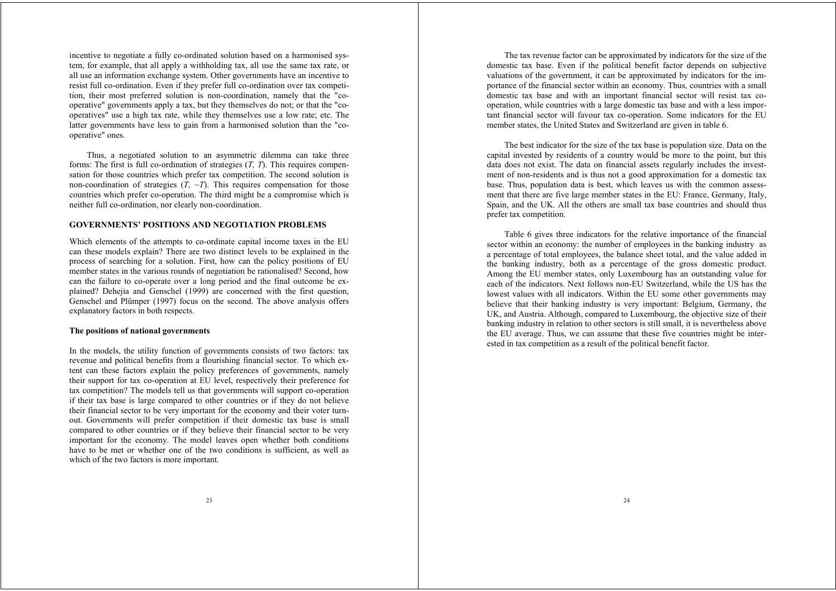incentive to negotiate a fully co-ordinated solution based on a harmonised system, for example, that all apply a withholding tax, all use the same tax rate, or all use an information exchange system. Other governments have an incentive to resist full co-ordination. Even if they prefer full co-ordination over tax competition, their most preferred solution is non-coordination, namely that the "cooperative" governments apply a tax, but they themselves do not; or that the "cooperatives" use a high tax rate, while they themselves use a low rate; etc. The latter governments have less to gain from a harmonised solution than the "cooperative" ones.

Thus, a negotiated solution to an asymmetric dilemma can take three forms: The first is full co-ordination of strategies (*T, T*). This requires compensation for those countries which prefer tax competition. The second solution is non-coordination of strategies  $(T, \sim T)$ . This requires compensation for those countries which prefer co-operation. The third might be a compromise which is neither full co-ordination, nor clearly non-coordination.

## **GOVERNMENTS' POSITIONS AND NEGOTIATION PROBLEMS**

Which elements of the attempts to co-ordinate capital income taxes in the EU can these models explain? There are two distinct levels to be explained in the process of searching for a solution. First, how can the policy positions of EU member states in the various rounds of negotiation be rationalised? Second, how can the failure to co-operate over a long period and the final outcome be explained? Dehejia and Genschel (1999) are concerned with the first question, Genschel and Plümper (1997) focus on the second. The above analysis offers explanatory factors in both respects.

## **The positions of national governments**

In the models, the utility function of governments consists of two factors: tax revenue and political benefits from a flourishing financial sector. To which extent can these factors explain the policy preferences of governments, namely their support for tax co-operation at EU level, respectively their preference for tax competition? The models tell us that governments will support co-operation if their tax base is large compared to other countries or if they do not believe their financial sector to be very important for the economy and their voter turnout. Governments will prefer competition if their domestic tax base is small compared to other countries or if they believe their financial sector to be very important for the economy. The model leaves open whether both conditions have to be met or whether one of the two conditions is sufficient, as well as which of the two factors is more important.

The tax revenue factor can be approximated by indicators for the size of the domestic tax base. Even if the political benefit factor depends on subjective valuations of the government, it can be approximated by indicators for the importance of the financial sector within an economy. Thus, countries with a small domestic tax base and with an important financial sector will resist tax cooperation, while countries with a large domestic tax base and with a less important financial sector will favour tax co-operation. Some indicators for the EU member states, the United States and Switzerland are given in table 6.

The best indicator for the size of the tax base is population size. Data on the capital invested by residents of a country would be more to the point, but this data does not exist. The data on financial assets regularly includes the investment of non-residents and is thus not a good approximation for a domestic tax base. Thus, population data is best, which leaves us with the common assessment that there are five large member states in the EU: France, Germany, Italy, Spain, and the UK. All the others are small tax base countries and should thus prefer tax competition.

Table 6 gives three indicators for the relative importance of the financial sector within an economy: the number of employees in the banking industry as a percentage of total employees, the balance sheet total, and the value added in the banking industry, both as a percentage of the gross domestic product. Among the EU member states, only Luxembourg has an outstanding value for each of the indicators. Next follows non-EU Switzerland, while the US has the lowest values with all indicators. Within the EU some other governments may believe that their banking industry is very important: Belgium, Germany, the UK, and Austria. Although, compared to Luxembourg, the objective size of their banking industry in relation to other sectors is still small, it is nevertheless above the EU average. Thus, we can assume that these five countries might be interested in tax competition as a result of the political benefit factor.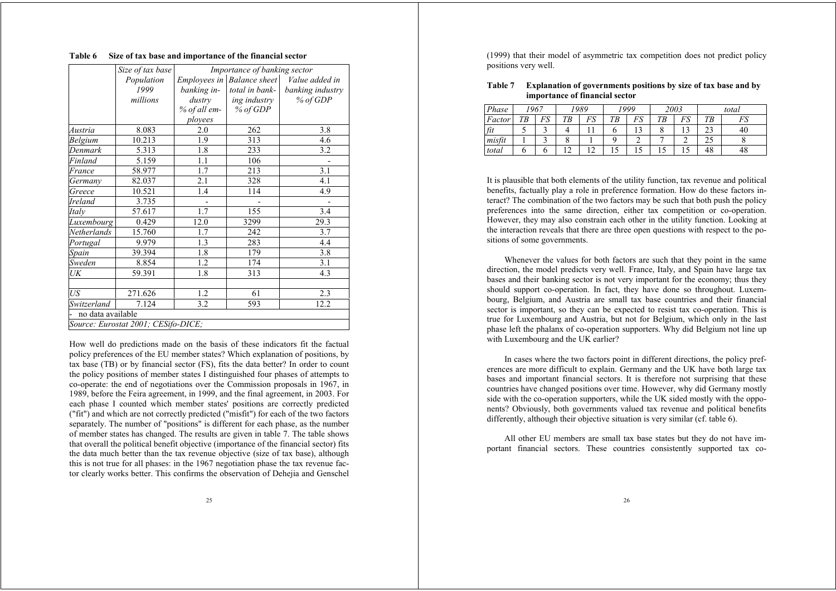## **Table 6 Size of tax base and importance of the financial sector**

|                   | Size of tax base<br>Importance of banking sector |              |                            |                  |  |
|-------------------|--------------------------------------------------|--------------|----------------------------|------------------|--|
|                   | Population                                       |              | Employees in Balance sheet | Value added in   |  |
|                   | 1999                                             | banking in-  | total in bank-             | banking industry |  |
|                   | millions                                         | dustry       | ing industry               | % of GDP         |  |
|                   |                                                  | % of all em- | % of GDP                   |                  |  |
|                   |                                                  | ployees      |                            |                  |  |
| Austria           | 8.083                                            | 2.0          | 262                        | 3.8              |  |
| Belgium           | 10.213                                           | 1.9          | 313                        | 4.6              |  |
| Denmark           | 5.313                                            | 1.8          | 233                        | 3.2              |  |
| Finland           | 5.159                                            | 1.1          | 106                        |                  |  |
| France            | 58.977                                           | 1.7          | 213                        | 3.1              |  |
| Germany           | 82.037                                           | 2.1          | 328                        | 4.1              |  |
| Greece            | 10.521                                           | 1.4          | 114                        | 4.9              |  |
| Ireland           | 3.735                                            |              |                            |                  |  |
| Italy             | 57.617                                           | 1.7          | 155                        | 3.4              |  |
| Luxembourg        | 0.429                                            | 12.0         | 3299                       | 29.3             |  |
| Netherlands       | 15.760                                           | 1.7          | 242                        | 3.7              |  |
| Portugal          | 9.979                                            | 1.3          | 283                        | 4.4              |  |
| Spain             | 39.394                                           | 1.8          | 179                        | 3.8              |  |
| Sweden            | 8.854                                            | 1.2          | 174                        | 3.1              |  |
| UK                | 59.391                                           | 1.8          | 313                        | 4.3              |  |
| US                | 271.626                                          | 1.2          | 61                         | 2.3              |  |
| Switzerland       | 7.124                                            | 3.2          | 593                        | 12.2             |  |
| no data available |                                                  |              |                            |                  |  |
|                   | Source: Eurostat 2001; CESifo-DICE;              |              |                            |                  |  |

How well do predictions made on the basis of these indicators fit the factual policy preferences of the EU member states? Which explanation of positions, by tax base (TB) or by financial sector (FS), fits the data better? In order to count the policy positions of member states I distinguished four phases of attempts to co-operate: the end of negotiations over the Commission proposals in 1967, in 1989, before the Feira agreement, in 1999, and the final agreement, in 2003. For each phase I counted which member states' positions are correctly predicted ("fit") and which are not correctly predicted ("misfit") for each of the two factors separately. The number of "positions" is different for each phase, as the number of member states has changed. The results are given in table 7. The table shows that overall the political benefit objective (importance of the financial sector) fits the data much better than the tax revenue objective (size of tax base), although this is not true for all phases: in the 1967 negotiation phase the tax revenue factor clearly works better. This confirms the observation of Dehejia and Genschel

(1999) that their model of asymmetric tax competition does not predict policy positions very well.

| Table 7 | <b>Explanation of governments positions by size of tax base and by</b> |
|---------|------------------------------------------------------------------------|
|         | importance of financial sector                                         |

| Phase  |    | '967      |    | 1989 |    | 1999      |    | 2003      |     | total |
|--------|----|-----------|----|------|----|-----------|----|-----------|-----|-------|
| Factor | TВ | FŚ<br>ט ז | TВ | ĽIJ  | TВ | ĒС<br>ΓD. | TВ | EС<br>ΓIJ | ТB  |       |
| fit    |    |           |    |      |    |           |    | ιJ        | ر ب | 40    |
| misfit |    |           |    |      |    |           |    |           | ر ے |       |
| total  |    |           |    |      |    |           |    | ıυ        | 48  | 48    |

It is plausible that both elements of the utility function, tax revenue and political benefits, factually play a role in preference formation. How do these factors interact? The combination of the two factors may be such that both push the policy preferences into the same direction, either tax competition or co-operation. However, they may also constrain each other in the utility function. Looking at the interaction reveals that there are three open questions with respect to the positions of some governments.

Whenever the values for both factors are such that they point in the same direction, the model predicts very well. France, Italy, and Spain have large tax bases and their banking sector is not very important for the economy; thus they should support co-operation. In fact, they have done so throughout. Luxembourg, Belgium, and Austria are small tax base countries and their financial sector is important, so they can be expected to resist tax co-operation. This is true for Luxembourg and Austria, but not for Belgium, which only in the last phase left the phalanx of co-operation supporters. Why did Belgium not line up with Luxembourg and the UK earlier?

In cases where the two factors point in different directions, the policy preferences are more difficult to explain. Germany and the UK have both large tax bases and important financial sectors. It is therefore not surprising that these countries have changed positions over time. However, why did Germany mostly side with the co-operation supporters, while the UK sided mostly with the opponents? Obviously, both governments valued tax revenue and political benefits differently, although their objective situation is very similar (cf. table 6).

All other EU members are small tax base states but they do not have important financial sectors. These countries consistently supported tax co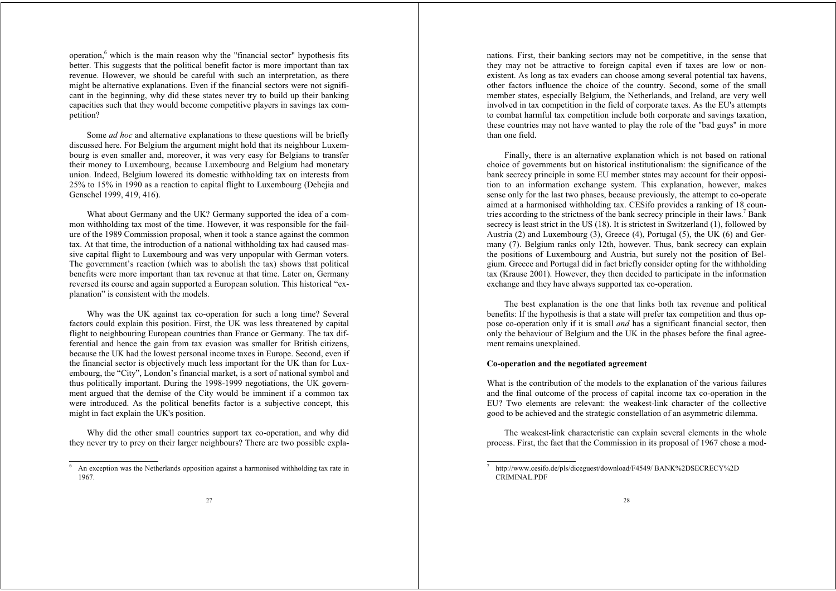operation, $6$  which is the main reason why the "financial sector" hypothesis fits better. This suggests that the political benefit factor is more important than tax revenue. However, we should be careful with such an interpretation, as there might be alternative explanations. Even if the financial sectors were not significant in the beginning, why did these states never try to build up their banking capacities such that they would become competitive players in savings tax competition?

Some *ad hoc* and alternative explanations to these questions will be briefly discussed here. For Belgium the argument might hold that its neighbour Luxembourg is even smaller and, moreover, it was very easy for Belgians to transfer their money to Luxembourg, because Luxembourg and Belgium had monetary union. Indeed, Belgium lowered its domestic withholding tax on interests from 25% to 15% in 1990 as a reaction to capital flight to Luxembourg (Dehejia and Genschel 1999, 419, 416).

What about Germany and the UK? Germany supported the idea of a common withholding tax most of the time. However, it was responsible for the failure of the 1989 Commission proposal, when it took a stance against the common tax. At that time, the introduction of a national withholding tax had caused massive capital flight to Luxembourg and was very unpopular with German voters. The government's reaction (which was to abolish the tax) shows that political benefits were more important than tax revenue at that time. Later on, Germany reversed its course and again supported a European solution. This historical "explanation" is consistent with the models.

Why was the UK against tax co-operation for such a long time? Several factors could explain this position. First, the UK was less threatened by capital flight to neighbouring European countries than France or Germany. The tax differential and hence the gain from tax evasion was smaller for British citizens, because the UK had the lowest personal income taxes in Europe. Second, even if the financial sector is objectively much less important for the UK than for Luxembourg, the "City", London's financial market, is a sort of national symbol and thus politically important. During the 1998-1999 negotiations, the UK government argued that the demise of the City would be imminent if a common tax were introduced. As the political benefits factor is a subjective concept, this might in fact explain the UK's position.

Why did the other small countries support tax co-operation, and why did they never try to prey on their larger neighbours? There are two possible explanations. First, their banking sectors may not be competitive, in the sense that they may not be attractive to foreign capital even if taxes are low or nonexistent. As long as tax evaders can choose among several potential tax havens, other factors influence the choice of the country. Second, some of the small member states, especially Belgium, the Netherlands, and Ireland, are very well involved in tax competition in the field of corporate taxes. As the EU's attempts to combat harmful tax competition include both corporate and savings taxation, these countries may not have wanted to play the role of the "bad guys" in more than one field.

Finally, there is an alternative explanation which is not based on rational choice of governments but on historical institutionalism: the significance of the bank secrecy principle in some EU member states may account for their opposition to an information exchange system. This explanation, however, makes sense only for the last two phases, because previously, the attempt to co-operate aimed at a harmonised withholding tax. CESifo provides a ranking of 18 countries according to the strictness of the bank secrecy principle in their laws.<sup>7</sup> Bank secrecy is least strict in the US (18). It is strictest in Switzerland (1), followed by Austria (2) and Luxembourg (3), Greece (4), Portugal (5), the UK (6) and Germany (7). Belgium ranks only 12th, however. Thus, bank secrecy can explain the positions of Luxembourg and Austria, but surely not the position of Belgium. Greece and Portugal did in fact briefly consider opting for the withholding tax (Krause 2001). However, they then decided to participate in the information exchange and they have always supported tax co-operation.

The best explanation is the one that links both tax revenue and political benefits: If the hypothesis is that a state will prefer tax competition and thus oppose co-operation only if it is small *and* has a significant financial sector, then only the behaviour of Belgium and the UK in the phases before the final agreement remains unexplained.

# **Co-operation and the negotiated agreement**

What is the contribution of the models to the explanation of the various failures and the final outcome of the process of capital income tax co-operation in the EU? Two elements are relevant: the weakest-link character of the collective good to be achieved and the strategic constellation of an asymmetric dilemma.

The weakest-link characteristic can explain several elements in the whole process. First, the fact that the Commission in its proposal of 1967 chose a mod-

An exception was the Netherlands opposition against a harmonised withholding tax rate in 1967.

<sup>7</sup> http://www.cesifo.de/pls/diceguest/download/F4549/ BANK%2DSECRECY%2D CRIMINAL.PDF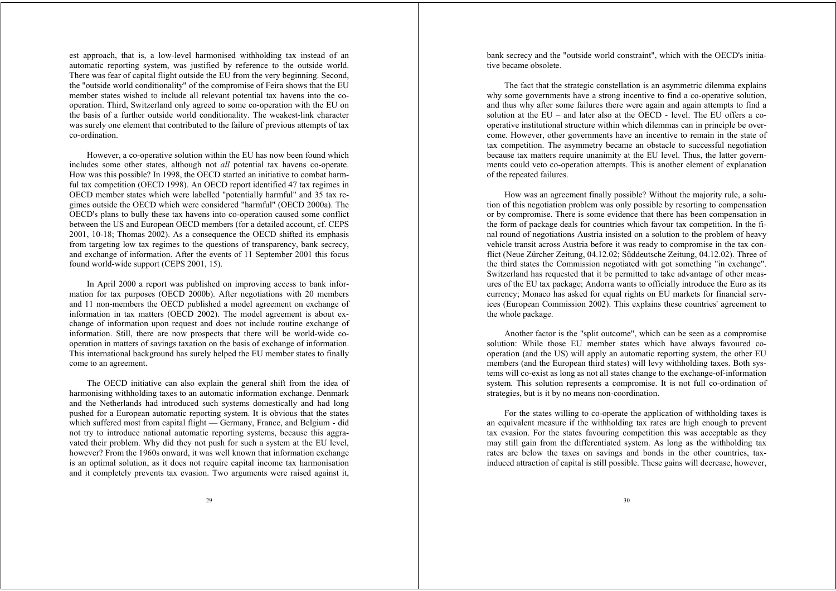est approach, that is, a low-level harmonised withholding tax instead of an automatic reporting system, was justified by reference to the outside world. There was fear of capital flight outside the EU from the very beginning. Second, the "outside world conditionality" of the compromise of Feira shows that the EU member states wished to include all relevant potential tax havens into the cooperation. Third, Switzerland only agreed to some co-operation with the EU on the basis of a further outside world conditionality. The weakest-link character was surely one element that contributed to the failure of previous attempts of tax co-ordination.

However, a co-operative solution within the EU has now been found which includes some other states, although not *all* potential tax havens co-operate. How was this possible? In 1998, the OECD started an initiative to combat harmful tax competition (OECD 1998). An OECD report identified 47 tax regimes in OECD member states which were labelled "potentially harmful" and 35 tax regimes outside the OECD which were considered "harmful" (OECD 2000a). The OECD's plans to bully these tax havens into co-operation caused some conflict between the US and European OECD members (for a detailed account, cf. CEPS 2001, 10-18; Thomas 2002). As a consequence the OECD shifted its emphasis from targeting low tax regimes to the questions of transparency, bank secrecy, and exchange of information. After the events of 11 September 2001 this focus found world-wide support (CEPS 2001, 15).

In April 2000 a report was published on improving access to bank information for tax purposes (OECD 2000b). After negotiations with 20 members and 11 non-members the OECD published a model agreement on exchange of information in tax matters (OECD 2002). The model agreement is about exchange of information upon request and does not include routine exchange of information. Still, there are now prospects that there will be world-wide cooperation in matters of savings taxation on the basis of exchange of information. This international background has surely helped the EU member states to finally come to an agreement.

The OECD initiative can also explain the general shift from the idea of harmonising withholding taxes to an automatic information exchange. Denmark and the Netherlands had introduced such systems domestically and had long pushed for a European automatic reporting system. It is obvious that the states which suffered most from capital flight — Germany, France, and Belgium - did not try to introduce national automatic reporting systems, because this aggravated their problem. Why did they not push for such a system at the EU level, however? From the 1960s onward, it was well known that information exchange is an optimal solution, as it does not require capital income tax harmonisation and it completely prevents tax evasion. Two arguments were raised against it,

bank secrecy and the "outside world constraint", which with the OECD's initiative became obsolete.

The fact that the strategic constellation is an asymmetric dilemma explains why some governments have a strong incentive to find a co-operative solution, and thus why after some failures there were again and again attempts to find a solution at the EU – and later also at the OECD - level. The EU offers a cooperative institutional structure within which dilemmas can in principle be overcome. However, other governments have an incentive to remain in the state of tax competition. The asymmetry became an obstacle to successful negotiation because tax matters require unanimity at the EU level. Thus, the latter governments could veto co-operation attempts. This is another element of explanation of the repeated failures.

How was an agreement finally possible? Without the majority rule, a solution of this negotiation problem was only possible by resorting to compensation or by compromise. There is some evidence that there has been compensation in the form of package deals for countries which favour tax competition. In the final round of negotiations Austria insisted on a solution to the problem of heavy vehicle transit across Austria before it was ready to compromise in the tax conflict (Neue Zürcher Zeitung, 04.12.02; Süddeutsche Zeitung, 04.12.02). Three of the third states the Commission negotiated with got something "in exchange". Switzerland has requested that it be permitted to take advantage of other measures of the EU tax package; Andorra wants to officially introduce the Euro as its currency; Monaco has asked for equal rights on EU markets for financial services (European Commission 2002). This explains these countries' agreement to the whole package.

Another factor is the "split outcome", which can be seen as a compromise solution: While those EU member states which have always favoured cooperation (and the US) will apply an automatic reporting system, the other EU members (and the European third states) will levy withholding taxes. Both systems will co-exist as long as not all states change to the exchange-of-information system. This solution represents a compromise. It is not full co-ordination of strategies, but is it by no means non-coordination.

For the states willing to co-operate the application of withholding taxes is an equivalent measure if the withholding tax rates are high enough to prevent tax evasion. For the states favouring competition this was acceptable as they may still gain from the differentiated system. As long as the withholding tax rates are below the taxes on savings and bonds in the other countries, taxinduced attraction of capital is still possible. These gains will decrease, however,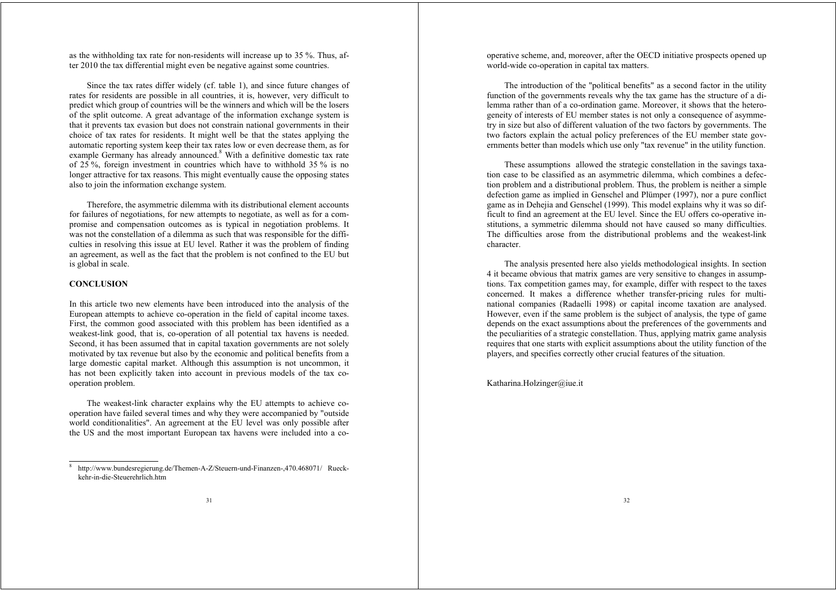as the withholding tax rate for non-residents will increase up to 35 %. Thus, after 2010 the tax differential might even be negative against some countries.

Since the tax rates differ widely (cf. table 1), and since future changes of rates for residents are possible in all countries, it is, however, very difficult to predict which group of countries will be the winners and which will be the losers of the split outcome. A great advantage of the information exchange system is that it prevents tax evasion but does not constrain national governments in their choice of tax rates for residents. It might well be that the states applying the automatic reporting system keep their tax rates low or even decrease them, as for example Germany has already announced.<sup>8</sup> With a definitive domestic tax rate of  $25\%$ , foreign investment in countries which have to withhold  $35\%$  is no longer attractive for tax reasons. This might eventually cause the opposing states also to join the information exchange system.

Therefore, the asymmetric dilemma with its distributional element accounts for failures of negotiations, for new attempts to negotiate, as well as for a compromise and compensation outcomes as is typical in negotiation problems. It was not the constellation of a dilemma as such that was responsible for the difficulties in resolving this issue at EU level. Rather it was the problem of finding an agreement, as well as the fact that the problem is not confined to the EU but is global in scale.

# **CONCLUSION**

In this article two new elements have been introduced into the analysis of the European attempts to achieve co-operation in the field of capital income taxes. First, the common good associated with this problem has been identified as a weakest-link good, that is, co-operation of all potential tax havens is needed. Second, it has been assumed that in capital taxation governments are not solely motivated by tax revenue but also by the economic and political benefits from a large domestic capital market. Although this assumption is not uncommon, it has not been explicitly taken into account in previous models of the tax cooperation problem.

The weakest-link character explains why the EU attempts to achieve cooperation have failed several times and why they were accompanied by "outside world conditionalities". An agreement at the EU level was only possible after the US and the most important European tax havens were included into a cooperative scheme, and, moreover, after the OECD initiative prospects opened up world-wide co-operation in capital tax matters.

The introduction of the "political benefits" as a second factor in the utility function of the governments reveals why the tax game has the structure of a dilemma rather than of a co-ordination game. Moreover, it shows that the heterogeneity of interests of EU member states is not only a consequence of asymmetry in size but also of different valuation of the two factors by governments. The two factors explain the actual policy preferences of the EU member state governments better than models which use only "tax revenue" in the utility function.

These assumptions allowed the strategic constellation in the savings taxation case to be classified as an asymmetric dilemma, which combines a defection problem and a distributional problem. Thus, the problem is neither a simple defection game as implied in Genschel and Plümper (1997), nor a pure conflict game as in Dehejia and Genschel (1999). This model explains why it was so difficult to find an agreement at the EU level. Since the EU offers co-operative institutions, a symmetric dilemma should not have caused so many difficulties. The difficulties arose from the distributional problems and the weakest-link character.

The analysis presented here also yields methodological insights. In section 4 it became obvious that matrix games are very sensitive to changes in assumptions. Tax competition games may, for example, differ with respect to the taxes concerned. It makes a difference whether transfer-pricing rules for multinational companies (Radaelli 1998) or capital income taxation are analysed. However, even if the same problem is the subject of analysis, the type of game depends on the exact assumptions about the preferences of the governments and the peculiarities of a strategic constellation. Thus, applying matrix game analysis requires that one starts with explicit assumptions about the utility function of the players, and specifies correctly other crucial features of the situation.

Katharina.Holzinger@iue.it

<sup>8</sup> http://www.bundesregierung.de/Themen-A-Z/Steuern-und-Finanzen-,470.468071/ Rueckkehr-in-die-Steuerehrlich.htm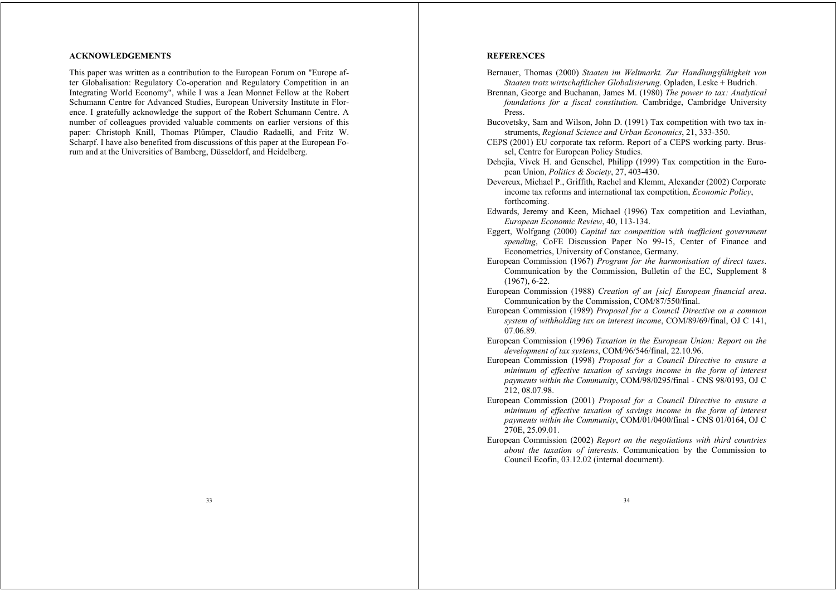# **ACKNOWLEDGEMENTS**

This paper was written as a contribution to the European Forum on "Europe after Globalisation: Regulatory Co-operation and Regulatory Competition in an Integrating World Economy", while I was a Jean Monnet Fellow at the Robert Schumann Centre for Advanced Studies, European University Institute in Florence. I gratefully acknowledge the support of the Robert Schumann Centre. A number of colleagues provided valuable comments on earlier versions of this paper: Christoph Knill, Thomas Plümper, Claudio Radaelli, and Fritz W. Scharpf. I have also benefited from discussions of this paper at the European Forum and at the Universities of Bamberg, Düsseldorf, and Heidelberg.

### **REFERENCES**

- Bernauer, Thomas (2000) *Staaten im Weltmarkt. Zur Handlungsfähigkeit von Staaten trotz wirtschaftlicher Globalisierung*. Opladen, Leske + Budrich.
- Brennan, George and Buchanan, James M. (1980) *The power to tax: Analytical foundations for a fiscal constitution.* Cambridge, Cambridge University Press.
- Bucovetsky, Sam and Wilson, John D. (1991) Tax competition with two tax instruments, *Regional Science and Urban Economics*, 21, 333-350.
- CEPS (2001) EU corporate tax reform. Report of a CEPS working party. Brussel, Centre for European Policy Studies.
- Dehejia, Vivek H. and Genschel, Philipp (1999) Tax competition in the European Union, *Politics & Society*, 27, 403-430.
- Devereux, Michael P., Griffith, Rachel and Klemm, Alexander (2002) Corporate income tax reforms and international tax competition, *Economic Policy*, forthcoming.
- Edwards, Jeremy and Keen, Michael (1996) Tax competition and Leviathan, *European Economic Review*, 40, 113-134.
- Eggert, Wolfgang (2000) *Capital tax competition with inefficient government spending*, CoFE Discussion Paper No 99-15, Center of Finance and Econometrics, University of Constance, Germany.
- European Commission (1967) *Program for the harmonisation of direct taxes*. Communication by the Commission, Bulletin of the EC, Supplement 8 (1967), 6-22.
- European Commission (1988) *Creation of an [sic] European financial area*. Communication by the Commission, COM/87/550/final.
- European Commission (1989) *Proposal for a Council Directive on a common system of withholding tax on interest income*, COM/89/69/final, OJ C 141, 07.06.89.
- European Commission (1996) *Taxation in the European Union: Report on the development of tax systems*, COM/96/546/final, 22.10.96.
- European Commission (1998) *Proposal for a Council Directive to ensure a minimum of effective taxation of savings income in the form of interest payments within the Community*, COM/98/0295/final - CNS 98/0193, OJ C 212, 08.07.98.
- European Commission (2001) *Proposal for a Council Directive to ensure a minimum of effective taxation of savings income in the form of interest payments within the Community*, COM/01/0400/final - CNS 01/0164, OJ C 270E, 25.09.01.
- European Commission (2002) *Report on the negotiations with third countries about the taxation of interests.* Communication by the Commission to Council Ecofin, 03.12.02 (internal document).